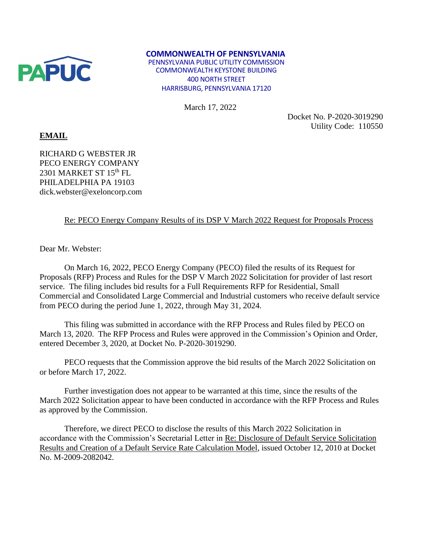

## **COMMONWEALTH OF PENNSYLVANIA**

PENNSYLVANIA PUBLIC UTILITY COMMISSION COMMONWEALTH KEYSTONE BUILDING 400 NORTH STREET HARRISBURG, PENNSYLVANIA 17120

March 17, 2022

Docket No. P-2020-3019290 Utility Code: 110550

## **EMAIL**

RICHARD G WEBSTER JR PECO ENERGY COMPANY 2301 MARKET ST  $15<sup>th</sup>$  FL PHILADELPHIA PA 19103 dick.webster@exeloncorp.com

## Re: PECO Energy Company Results of its DSP V March 2022 Request for Proposals Process

Dear Mr. Webster:

On March 16, 2022, PECO Energy Company (PECO) filed the results of its Request for Proposals (RFP) Process and Rules for the DSP V March 2022 Solicitation for provider of last resort service. The filing includes bid results for a Full Requirements RFP for Residential, Small Commercial and Consolidated Large Commercial and Industrial customers who receive default service from PECO during the period June 1, 2022, through May 31, 2024.

This filing was submitted in accordance with the RFP Process and Rules filed by PECO on March 13, 2020. The RFP Process and Rules were approved in the Commission's Opinion and Order, entered December 3, 2020, at Docket No. P-2020-3019290.

PECO requests that the Commission approve the bid results of the March 2022 Solicitation on or before March 17, 2022.

Further investigation does not appear to be warranted at this time, since the results of the March 2022 Solicitation appear to have been conducted in accordance with the RFP Process and Rules as approved by the Commission.

Therefore, we direct PECO to disclose the results of this March 2022 Solicitation in accordance with the Commission's Secretarial Letter in Re: Disclosure of Default Service Solicitation Results and Creation of a Default Service Rate Calculation Model, issued October 12, 2010 at Docket No. M-2009-2082042.